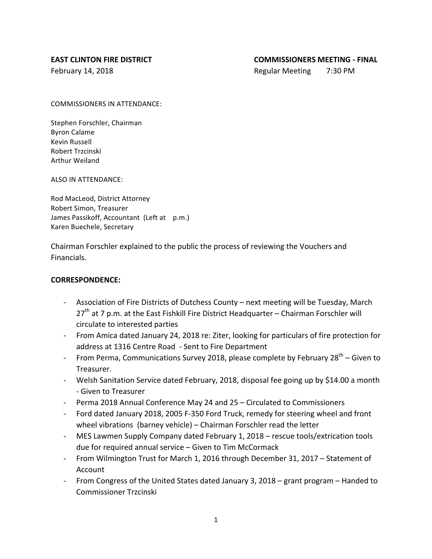February 14, 2018 **Regular Meeting** 7:30 PM

COMMISSIONERS IN ATTENDANCE:

Stephen Forschler, Chairman Byron Calame Kevin Russell Robert Trzcinski Arthur Weiland

ALSO IN ATTENDANCE:

Rod MacLeod, District Attorney Robert Simon, Treasurer James Passikoff, Accountant (Left at p.m.) Karen Buechele, Secretary

Chairman Forschler explained to the public the process of reviewing the Vouchers and Financials.

### **CORRESPONDENCE:**

- Association of Fire Districts of Dutchess County next meeting will be Tuesday, March  $27<sup>th</sup>$  at 7 p.m. at the East Fishkill Fire District Headquarter – Chairman Forschler will circulate to interested parties
- From Amica dated January 24, 2018 re: Ziter, looking for particulars of fire protection for address at 1316 Centre Road - Sent to Fire Department
- From Perma, Communications Survey 2018, please complete by February  $28^{th}$  Given to Treasurer.
- Welsh Sanitation Service dated February, 2018, disposal fee going up by \$14.00 a month - Given to Treasurer
- Perma 2018 Annual Conference May 24 and 25 Circulated to Commissioners
- Ford dated January 2018, 2005 F-350 Ford Truck, remedy for steering wheel and front wheel vibrations (barney vehicle) – Chairman Forschler read the letter
- MES Lawmen Supply Company dated February 1, 2018 rescue tools/extrication tools due for required annual service  $-$  Given to Tim McCormack
- From Wilmington Trust for March 1, 2016 through December 31, 2017 Statement of Account
- From Congress of the United States dated January 3, 2018 grant program Handed to Commissioner Trzcinski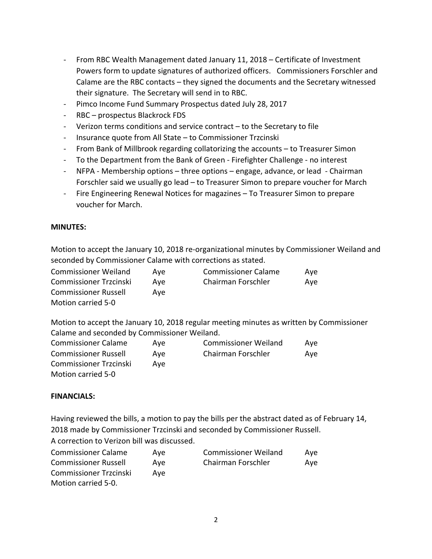- From RBC Wealth Management dated January 11, 2018 Certificate of Investment Powers form to update signatures of authorized officers. Commissioners Forschler and Calame are the RBC contacts  $-$  they signed the documents and the Secretary witnessed their signature. The Secretary will send in to RBC.
- Pimco Income Fund Summary Prospectus dated July 28, 2017
- RBC prospectus Blackrock FDS
- Verizon terms conditions and service contract  $-$  to the Secretary to file
- Insurance quote from All State to Commissioner Trzcinski
- From Bank of Millbrook regarding collatorizing the accounts to Treasurer Simon
- To the Department from the Bank of Green Firefighter Challenge no interest
- NFPA Membership options  $-$  three options  $-$  engage, advance, or lead  $-$  Chairman Forschler said we usually go lead – to Treasurer Simon to prepare voucher for March
- Fire Engineering Renewal Notices for magazines To Treasurer Simon to prepare voucher for March.

## **MINUTES:**

Motion to accept the January 10, 2018 re-organizational minutes by Commissioner Weiland and seconded by Commissioner Calame with corrections as stated.

| <b>Commissioner Weiland</b>   | Ave | <b>Commissioner Calame</b> | Ave |
|-------------------------------|-----|----------------------------|-----|
| <b>Commissioner Trzcinski</b> | Ave | Chairman Forschler         | Ave |
| <b>Commissioner Russell</b>   | Ave |                            |     |
| Motion carried 5-0            |     |                            |     |

Motion to accept the January 10, 2018 regular meeting minutes as written by Commissioner Calame and seconded by Commissioner Weiland.

| <b>Commissioner Calame</b>    | Ave | <b>Commissioner Weiland</b> | Ave |
|-------------------------------|-----|-----------------------------|-----|
| <b>Commissioner Russell</b>   | Ave | Chairman Forschler          | Ave |
| <b>Commissioner Trzcinski</b> | Ave |                             |     |
| Motion carried 5-0            |     |                             |     |

#### **FINANCIALS:**

Having reviewed the bills, a motion to pay the bills per the abstract dated as of February 14, 2018 made by Commissioner Trzcinski and seconded by Commissioner Russell. A correction to Verizon bill was discussed.

| <b>Commissioner Calame</b>    | Ave | <b>Commissioner Weiland</b> | Ave |
|-------------------------------|-----|-----------------------------|-----|
| <b>Commissioner Russell</b>   | Ave | Chairman Forschler          | Ave |
| <b>Commissioner Trzcinski</b> | Ave |                             |     |
| Motion carried 5-0.           |     |                             |     |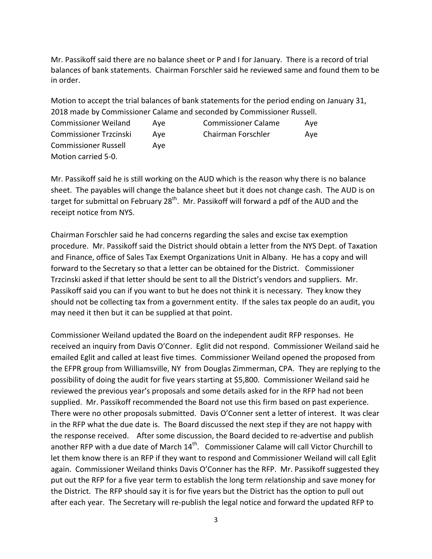Mr. Passikoff said there are no balance sheet or P and I for January. There is a record of trial balances of bank statements. Chairman Forschler said he reviewed same and found them to be in order. 

Motion to accept the trial balances of bank statements for the period ending on January 31, 2018 made by Commissioner Calame and seconded by Commissioner Russell. Commissioner Weiland Aye Commissioner Calame Aye Commissioner Trzcinski Aye Chairman Forschler Aye Commissioner Russell Aye Motion carried 5-0.

Mr. Passikoff said he is still working on the AUD which is the reason why there is no balance sheet. The payables will change the balance sheet but it does not change cash. The AUD is on target for submittal on February  $28<sup>th</sup>$ . Mr. Passikoff will forward a pdf of the AUD and the receipt notice from NYS.

Chairman Forschler said he had concerns regarding the sales and excise tax exemption procedure. Mr. Passikoff said the District should obtain a letter from the NYS Dept. of Taxation and Finance, office of Sales Tax Exempt Organizations Unit in Albany. He has a copy and will forward to the Secretary so that a letter can be obtained for the District. Commissioner Trzcinski asked if that letter should be sent to all the District's vendors and suppliers. Mr. Passikoff said you can if you want to but he does not think it is necessary. They know they should not be collecting tax from a government entity. If the sales tax people do an audit, you may need it then but it can be supplied at that point.

Commissioner Weiland updated the Board on the independent audit RFP responses. He received an inquiry from Davis O'Conner. Eglit did not respond. Commissioner Weiland said he emailed Eglit and called at least five times. Commissioner Weiland opened the proposed from the EFPR group from Williamsville, NY from Douglas Zimmerman, CPA. They are replying to the possibility of doing the audit for five years starting at \$5,800. Commissioner Weiland said he reviewed the previous year's proposals and some details asked for in the RFP had not been supplied. Mr. Passikoff recommended the Board not use this firm based on past experience. There were no other proposals submitted. Davis O'Conner sent a letter of interest. It was clear in the RFP what the due date is. The Board discussed the next step if they are not happy with the response received. After some discussion, the Board decided to re-advertise and publish another RFP with a due date of March  $14<sup>th</sup>$ . Commissioner Calame will call Victor Churchill to let them know there is an RFP if they want to respond and Commissioner Weiland will call Eglit again. Commissioner Weiland thinks Davis O'Conner has the RFP. Mr. Passikoff suggested they put out the RFP for a five year term to establish the long term relationship and save money for the District. The RFP should say it is for five years but the District has the option to pull out after each year. The Secretary will re-publish the legal notice and forward the updated RFP to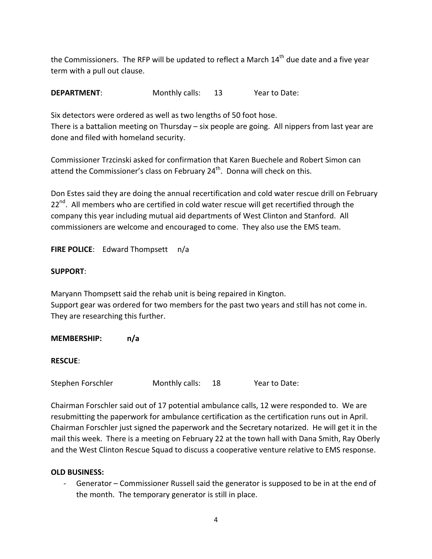the Commissioners. The RFP will be updated to reflect a March  $14<sup>th</sup>$  due date and a five year term with a pull out clause.

**DEPARTMENT:** Monthly calls: 13 Year to Date:

Six detectors were ordered as well as two lengths of 50 foot hose. There is a battalion meeting on Thursday  $-$  six people are going. All nippers from last year are done and filed with homeland security.

Commissioner Trzcinski asked for confirmation that Karen Buechele and Robert Simon can attend the Commissioner's class on February  $24<sup>th</sup>$ . Donna will check on this.

Don Estes said they are doing the annual recertification and cold water rescue drill on February  $22<sup>nd</sup>$ . All members who are certified in cold water rescue will get recertified through the company this year including mutual aid departments of West Clinton and Stanford. All commissioners are welcome and encouraged to come. They also use the EMS team.

**FIRE POLICE:** Edward Thompsett n/a

#### **SUPPORT**:

Maryann Thompsett said the rehab unit is being repaired in Kington. Support gear was ordered for two members for the past two years and still has not come in. They are researching this further.

**MEMBERSHIP: n/a**

**RESCUE**:

Stephen Forschler Monthly calls: 18 Year to Date:

Chairman Forschler said out of 17 potential ambulance calls, 12 were responded to. We are resubmitting the paperwork for ambulance certification as the certification runs out in April. Chairman Forschler just signed the paperwork and the Secretary notarized. He will get it in the mail this week. There is a meeting on February 22 at the town hall with Dana Smith, Ray Oberly and the West Clinton Rescue Squad to discuss a cooperative venture relative to EMS response.

#### **OLD BUSINESS:**

Generator – Commissioner Russell said the generator is supposed to be in at the end of the month. The temporary generator is still in place.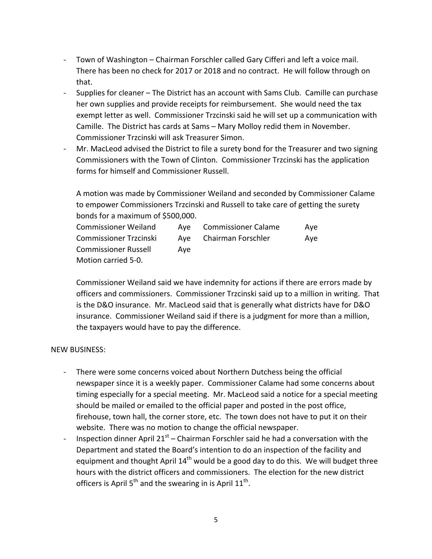- Town of Washington Chairman Forschler called Gary Cifferi and left a voice mail. There has been no check for 2017 or 2018 and no contract. He will follow through on that.
- Supplies for cleaner The District has an account with Sams Club. Camille can purchase her own supplies and provide receipts for reimbursement. She would need the tax exempt letter as well. Commissioner Trzcinski said he will set up a communication with Camille. The District has cards at Sams – Mary Molloy redid them in November. Commissioner Trzcinski will ask Treasurer Simon.
- Mr. MacLeod advised the District to file a surety bond for the Treasurer and two signing Commissioners with the Town of Clinton. Commissioner Trzcinski has the application forms for himself and Commissioner Russell.

A motion was made by Commissioner Weiland and seconded by Commissioner Calame to empower Commissioners Trzcinski and Russell to take care of getting the surety bonds for a maximum of \$500,000.

| <b>Commissioner Weiland</b>   |     | Aye Commissioner Calame | Ave |
|-------------------------------|-----|-------------------------|-----|
| <b>Commissioner Trzcinski</b> |     | Aye Chairman Forschler  | Ave |
| <b>Commissioner Russell</b>   | Ave |                         |     |
| Motion carried 5-0.           |     |                         |     |

Commissioner Weiland said we have indemnity for actions if there are errors made by officers and commissioners. Commissioner Trzcinski said up to a million in writing. That is the D&O insurance. Mr. MacLeod said that is generally what districts have for D&O insurance. Commissioner Weiland said if there is a judgment for more than a million, the taxpayers would have to pay the difference.

#### NEW BUSINESS:

- There were some concerns voiced about Northern Dutchess being the official newspaper since it is a weekly paper. Commissioner Calame had some concerns about timing especially for a special meeting. Mr. MacLeod said a notice for a special meeting should be mailed or emailed to the official paper and posted in the post office, firehouse, town hall, the corner store, etc. The town does not have to put it on their website. There was no motion to change the official newspaper.
- Inspection dinner April  $21<sup>st</sup>$  Chairman Forschler said he had a conversation with the Department and stated the Board's intention to do an inspection of the facility and equipment and thought April  $14<sup>th</sup>$  would be a good day to do this. We will budget three hours with the district officers and commissioners. The election for the new district officers is April  $5<sup>th</sup>$  and the swearing in is April  $11<sup>th</sup>$ .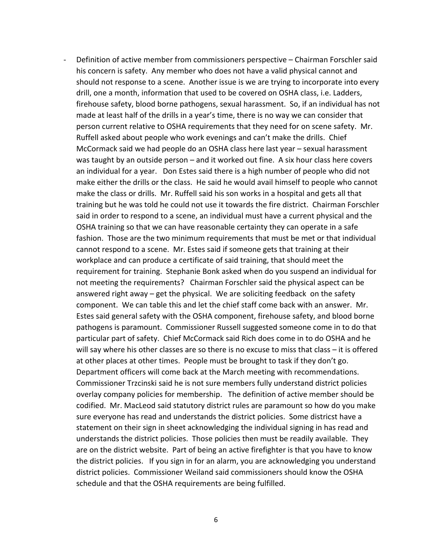Definition of active member from commissioners perspective – Chairman Forschler said his concern is safety. Any member who does not have a valid physical cannot and should not response to a scene. Another issue is we are trying to incorporate into every drill, one a month, information that used to be covered on OSHA class, i.e. Ladders, firehouse safety, blood borne pathogens, sexual harassment. So, if an individual has not made at least half of the drills in a year's time, there is no way we can consider that person current relative to OSHA requirements that they need for on scene safety. Mr. Ruffell asked about people who work evenings and can't make the drills. Chief McCormack said we had people do an OSHA class here last year – sexual harassment was taught by an outside person – and it worked out fine. A six hour class here covers an individual for a year. Don Estes said there is a high number of people who did not make either the drills or the class. He said he would avail himself to people who cannot make the class or drills. Mr. Ruffell said his son works in a hospital and gets all that training but he was told he could not use it towards the fire district. Chairman Forschler said in order to respond to a scene, an individual must have a current physical and the OSHA training so that we can have reasonable certainty they can operate in a safe fashion. Those are the two minimum requirements that must be met or that individual cannot respond to a scene. Mr. Estes said if someone gets that training at their workplace and can produce a certificate of said training, that should meet the requirement for training. Stephanie Bonk asked when do you suspend an individual for not meeting the requirements? Chairman Forschler said the physical aspect can be answered right away  $-$  get the physical. We are soliciting feedback on the safety component. We can table this and let the chief staff come back with an answer. Mr. Estes said general safety with the OSHA component, firehouse safety, and blood borne pathogens is paramount. Commissioner Russell suggested someone come in to do that particular part of safety. Chief McCormack said Rich does come in to do OSHA and he will say where his other classes are so there is no excuse to miss that class  $-$  it is offered at other places at other times. People must be brought to task if they don't go. Department officers will come back at the March meeting with recommendations. Commissioner Trzcinski said he is not sure members fully understand district policies overlay company policies for membership. The definition of active member should be codified. Mr. MacLeod said statutory district rules are paramount so how do you make sure everyone has read and understands the district policies. Some districst have a statement on their sign in sheet acknowledging the individual signing in has read and understands the district policies. Those policies then must be readily available. They are on the district website. Part of being an active firefighter is that you have to know the district policies. If you sign in for an alarm, you are acknowledging you understand district policies. Commissioner Weiland said commissioners should know the OSHA schedule and that the OSHA requirements are being fulfilled.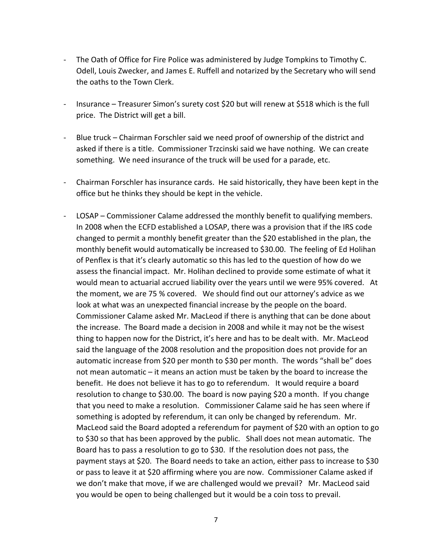- The Oath of Office for Fire Police was administered by Judge Tompkins to Timothy C. Odell, Louis Zwecker, and James E. Ruffell and notarized by the Secretary who will send the oaths to the Town Clerk.
- Insurance Treasurer Simon's surety cost \$20 but will renew at \$518 which is the full price. The District will get a bill.
- Blue truck Chairman Forschler said we need proof of ownership of the district and asked if there is a title. Commissioner Trzcinski said we have nothing. We can create something. We need insurance of the truck will be used for a parade, etc.
- Chairman Forschler has insurance cards. He said historically, they have been kept in the office but he thinks they should be kept in the vehicle.
- LOSAP Commissioner Calame addressed the monthly benefit to qualifying members. In 2008 when the ECFD established a LOSAP, there was a provision that if the IRS code changed to permit a monthly benefit greater than the \$20 established in the plan, the monthly benefit would automatically be increased to \$30.00. The feeling of Ed Holihan of Penflex is that it's clearly automatic so this has led to the question of how do we assess the financial impact. Mr. Holihan declined to provide some estimate of what it would mean to actuarial accrued liability over the years until we were 95% covered. At the moment, we are 75 % covered. We should find out our attorney's advice as we look at what was an unexpected financial increase by the people on the board. Commissioner Calame asked Mr. MacLeod if there is anything that can be done about the increase. The Board made a decision in 2008 and while it may not be the wisest thing to happen now for the District, it's here and has to be dealt with. Mr. MacLeod said the language of the 2008 resolution and the proposition does not provide for an automatic increase from \$20 per month to \$30 per month. The words "shall be" does not mean automatic – it means an action must be taken by the board to increase the benefit. He does not believe it has to go to referendum. It would require a board resolution to change to \$30.00. The board is now paying \$20 a month. If you change that you need to make a resolution. Commissioner Calame said he has seen where if something is adopted by referendum, it can only be changed by referendum. Mr. MacLeod said the Board adopted a referendum for payment of \$20 with an option to go to \$30 so that has been approved by the public. Shall does not mean automatic. The Board has to pass a resolution to go to \$30. If the resolution does not pass, the payment stays at \$20. The Board needs to take an action, either pass to increase to \$30 or pass to leave it at \$20 affirming where you are now. Commissioner Calame asked if we don't make that move, if we are challenged would we prevail? Mr. MacLeod said you would be open to being challenged but it would be a coin toss to prevail.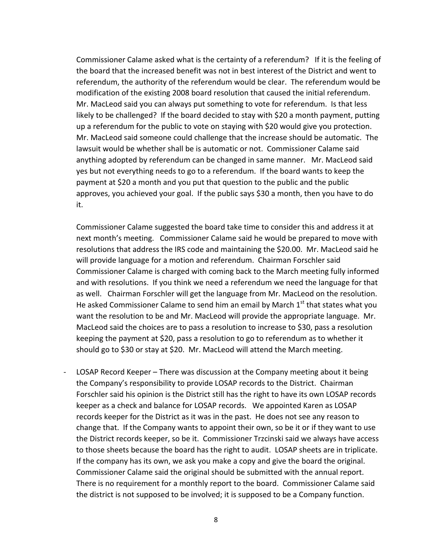Commissioner Calame asked what is the certainty of a referendum? If it is the feeling of the board that the increased benefit was not in best interest of the District and went to referendum, the authority of the referendum would be clear. The referendum would be modification of the existing 2008 board resolution that caused the initial referendum. Mr. MacLeod said you can always put something to vote for referendum. Is that less likely to be challenged? If the board decided to stay with \$20 a month payment, putting up a referendum for the public to vote on staying with \$20 would give you protection. Mr. MacLeod said someone could challenge that the increase should be automatic. The lawsuit would be whether shall be is automatic or not. Commissioner Calame said anything adopted by referendum can be changed in same manner. Mr. MacLeod said yes but not everything needs to go to a referendum. If the board wants to keep the payment at \$20 a month and you put that question to the public and the public approves, you achieved your goal. If the public says \$30 a month, then you have to do it. 

Commissioner Calame suggested the board take time to consider this and address it at next month's meeting. Commissioner Calame said he would be prepared to move with resolutions that address the IRS code and maintaining the \$20.00. Mr. MacLeod said he will provide language for a motion and referendum. Chairman Forschler said Commissioner Calame is charged with coming back to the March meeting fully informed and with resolutions. If you think we need a referendum we need the language for that as well. Chairman Forschler will get the language from Mr. MacLeod on the resolution. He asked Commissioner Calame to send him an email by March  $1<sup>st</sup>$  that states what you want the resolution to be and Mr. MacLeod will provide the appropriate language. Mr. MacLeod said the choices are to pass a resolution to increase to \$30, pass a resolution keeping the payment at \$20, pass a resolution to go to referendum as to whether it should go to \$30 or stay at \$20. Mr. MacLeod will attend the March meeting.

LOSAP Record Keeper - There was discussion at the Company meeting about it being the Company's responsibility to provide LOSAP records to the District. Chairman Forschler said his opinion is the District still has the right to have its own LOSAP records keeper as a check and balance for LOSAP records. We appointed Karen as LOSAP records keeper for the District as it was in the past. He does not see any reason to change that. If the Company wants to appoint their own, so be it or if they want to use the District records keeper, so be it. Commissioner Trzcinski said we always have access to those sheets because the board has the right to audit. LOSAP sheets are in triplicate. If the company has its own, we ask you make a copy and give the board the original. Commissioner Calame said the original should be submitted with the annual report. There is no requirement for a monthly report to the board. Commissioner Calame said the district is not supposed to be involved; it is supposed to be a Company function.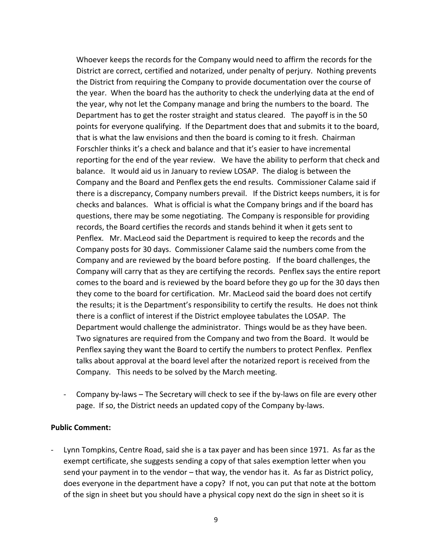Whoever keeps the records for the Company would need to affirm the records for the District are correct, certified and notarized, under penalty of perjury. Nothing prevents the District from requiring the Company to provide documentation over the course of the year. When the board has the authority to check the underlying data at the end of the year, why not let the Company manage and bring the numbers to the board. The Department has to get the roster straight and status cleared. The payoff is in the 50 points for everyone qualifying. If the Department does that and submits it to the board, that is what the law envisions and then the board is coming to it fresh. Chairman Forschler thinks it's a check and balance and that it's easier to have incremental reporting for the end of the year review. We have the ability to perform that check and balance. It would aid us in January to review LOSAP. The dialog is between the Company and the Board and Penflex gets the end results. Commissioner Calame said if there is a discrepancy, Company numbers prevail. If the District keeps numbers, it is for checks and balances. What is official is what the Company brings and if the board has questions, there may be some negotiating. The Company is responsible for providing records, the Board certifies the records and stands behind it when it gets sent to Penflex. Mr. MacLeod said the Department is required to keep the records and the Company posts for 30 days. Commissioner Calame said the numbers come from the Company and are reviewed by the board before posting. If the board challenges, the Company will carry that as they are certifying the records. Penflex says the entire report comes to the board and is reviewed by the board before they go up for the 30 days then they come to the board for certification. Mr. MacLeod said the board does not certify the results; it is the Department's responsibility to certify the results. He does not think there is a conflict of interest if the District employee tabulates the LOSAP. The Department would challenge the administrator. Things would be as they have been. Two signatures are required from the Company and two from the Board. It would be Penflex saying they want the Board to certify the numbers to protect Penflex. Penflex talks about approval at the board level after the notarized report is received from the Company. This needs to be solved by the March meeting.

- Company by-laws – The Secretary will check to see if the by-laws on file are every other page. If so, the District needs an updated copy of the Company by-laws.

#### **Public Comment:**

Lynn Tompkins, Centre Road, said she is a tax payer and has been since 1971. As far as the exempt certificate, she suggests sending a copy of that sales exemption letter when you send your payment in to the vendor  $-$  that way, the vendor has it. As far as District policy, does everyone in the department have a copy? If not, you can put that note at the bottom of the sign in sheet but you should have a physical copy next do the sign in sheet so it is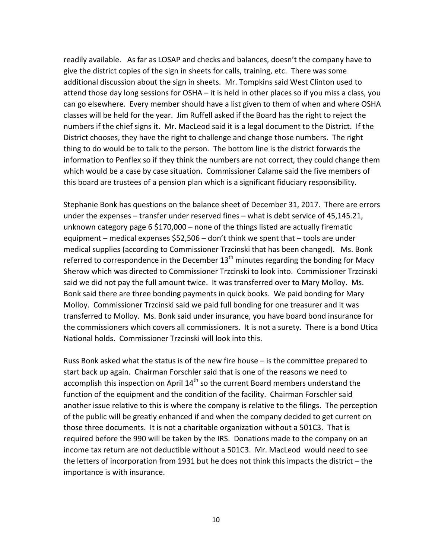readily available. As far as LOSAP and checks and balances, doesn't the company have to give the district copies of the sign in sheets for calls, training, etc. There was some additional discussion about the sign in sheets. Mr. Tompkins said West Clinton used to attend those day long sessions for OSHA – it is held in other places so if you miss a class, you can go elsewhere. Every member should have a list given to them of when and where OSHA classes will be held for the year. Jim Ruffell asked if the Board has the right to reject the numbers if the chief signs it. Mr. MacLeod said it is a legal document to the District. If the District chooses, they have the right to challenge and change those numbers. The right thing to do would be to talk to the person. The bottom line is the district forwards the information to Penflex so if they think the numbers are not correct, they could change them which would be a case by case situation. Commissioner Calame said the five members of this board are trustees of a pension plan which is a significant fiduciary responsibility.

Stephanie Bonk has questions on the balance sheet of December 31, 2017. There are errors under the expenses  $-$  transfer under reserved fines  $-$  what is debt service of 45,145.21, unknown category page  $6$  \$170,000 – none of the things listed are actually firematic equipment – medical expenses  $$52,506$  – don't think we spent that – tools are under medical supplies (according to Commissioner Trzcinski that has been changed). Ms. Bonk referred to correspondence in the December  $13<sup>th</sup>$  minutes regarding the bonding for Macy Sherow which was directed to Commissioner Trzcinski to look into. Commissioner Trzcinski said we did not pay the full amount twice. It was transferred over to Mary Molloy. Ms. Bonk said there are three bonding payments in quick books. We paid bonding for Mary Molloy. Commissioner Trzcinski said we paid full bonding for one treasurer and it was transferred to Molloy. Ms. Bonk said under insurance, you have board bond insurance for the commissioners which covers all commissioners. It is not a surety. There is a bond Utica National holds. Commissioner Trzcinski will look into this.

Russ Bonk asked what the status is of the new fire house  $-$  is the committee prepared to start back up again. Chairman Forschler said that is one of the reasons we need to accomplish this inspection on April  $14<sup>th</sup>$  so the current Board members understand the function of the equipment and the condition of the facility. Chairman Forschler said another issue relative to this is where the company is relative to the filings. The perception of the public will be greatly enhanced if and when the company decided to get current on those three documents. It is not a charitable organization without a 501C3. That is required before the 990 will be taken by the IRS. Donations made to the company on an income tax return are not deductible without a 501C3. Mr. MacLeod would need to see the letters of incorporation from 1931 but he does not think this impacts the district  $-$  the importance is with insurance.